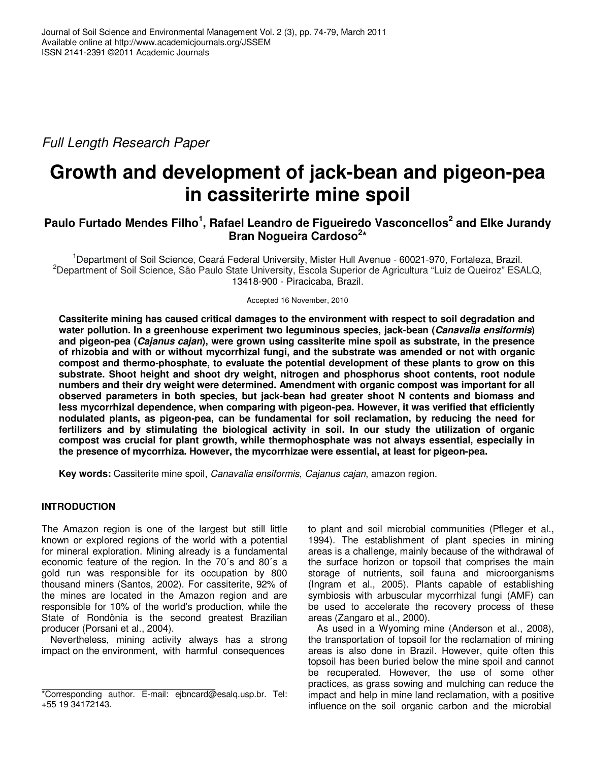Full Length Research Paper

# **Growth and development of jack-bean and pigeon-pea in cassiterirte mine spoil**

# **Paulo Furtado Mendes Filho<sup>1</sup> , Rafael Leandro de Figueiredo Vasconcellos<sup>2</sup> and Elke Jurandy Bran Nogueira Cardoso<sup>2</sup> \***

<sup>1</sup>Department of Soil Science, Ceará Federal University, Mister Hull Avenue - 60021-970, Fortaleza, Brazil. <sup>2</sup>Department of Soil Science, São Paulo State University, Escola Superior de Agricultura "Luiz de Queiroz" ESALQ, 13418-900 - Piracicaba, Brazil.

Accepted 16 November, 2010

**Cassiterite mining has caused critical damages to the environment with respect to soil degradation and water pollution. In a greenhouse experiment two leguminous species, jack-bean (Canavalia ensiformis) and pigeon-pea (Cajanus cajan), were grown using cassiterite mine spoil as substrate, in the presence of rhizobia and with or without mycorrhizal fungi, and the substrate was amended or not with organic compost and thermo-phosphate, to evaluate the potential development of these plants to grow on this substrate. Shoot height and shoot dry weight, nitrogen and phosphorus shoot contents, root nodule numbers and their dry weight were determined. Amendment with organic compost was important for all observed parameters in both species, but jack-bean had greater shoot N contents and biomass and less mycorrhizal dependence, when comparing with pigeon-pea. However, it was verified that efficiently nodulated plants, as pigeon-pea, can be fundamental for soil reclamation, by reducing the need for fertilizers and by stimulating the biological activity in soil. In our study the utilization of organic compost was crucial for plant growth, while thermophosphate was not always essential, especially in the presence of mycorrhiza. However, the mycorrhizae were essential, at least for pigeon-pea.** 

**Key words:** Cassiterite mine spoil, Canavalia ensiformis, Cajanus cajan, amazon region.

# **INTRODUCTION**

The Amazon region is one of the largest but still little known or explored regions of the world with a potential for mineral exploration. Mining already is a fundamental economic feature of the region. In the 70´s and 80´s a gold run was responsible for its occupation by 800 thousand miners (Santos, 2002). For cassiterite, 92% of the mines are located in the Amazon region and are responsible for 10% of the world's production, while the State of Rondônia is the second greatest Brazilian producer (Porsani et al., 2004).

Nevertheless, mining activity always has a strong impact on the environment, with harmful consequences

to plant and soil microbial communities (Pfleger et al., 1994). The establishment of plant species in mining areas is a challenge, mainly because of the withdrawal of the surface horizon or topsoil that comprises the main storage of nutrients, soil fauna and microorganisms (Ingram et al., 2005). Plants capable of establishing symbiosis with arbuscular mycorrhizal fungi (AMF) can be used to accelerate the recovery process of these areas (Zangaro et al., 2000).

As used in a Wyoming mine (Anderson et al., 2008), the transportation of topsoil for the reclamation of mining areas is also done in Brazil. However, quite often this topsoil has been buried below the mine spoil and cannot be recuperated. However, the use of some other practices, as grass sowing and mulching can reduce the impact and help in mine land reclamation, with a positive influence on the soil organic carbon and the microbial

<sup>\*</sup>Corresponding author. E-mail: ejbncard@esalq.usp.br. Tel: +55 19 34172143.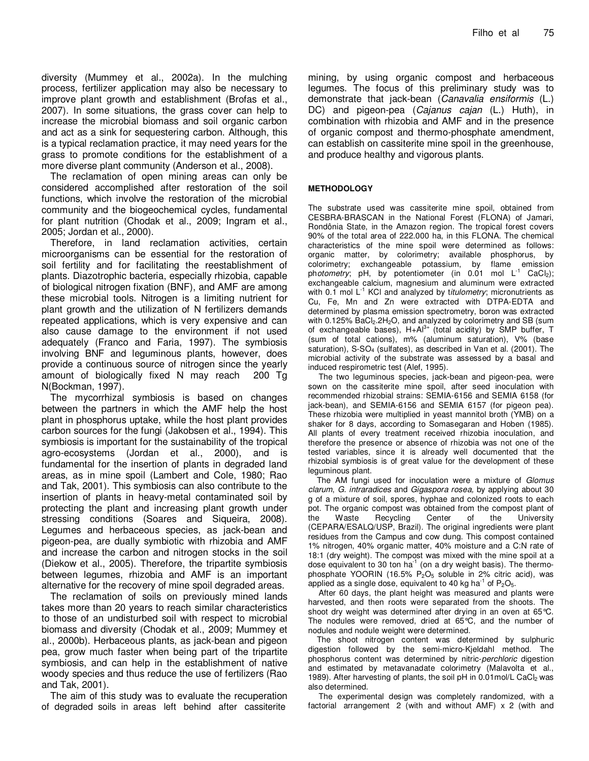diversity (Mummey et al., 2002a). In the mulching process, fertilizer application may also be necessary to improve plant growth and establishment (Brofas et al., 2007). In some situations, the grass cover can help to increase the microbial biomass and soil organic carbon and act as a sink for sequestering carbon. Although, this is a typical reclamation practice, it may need years for the grass to promote conditions for the establishment of a more diverse plant community (Anderson et al., 2008).

The reclamation of open mining areas can only be considered accomplished after restoration of the soil functions, which involve the restoration of the microbial community and the biogeochemical cycles, fundamental for plant nutrition (Chodak et al., 2009; Ingram et al., 2005; Jordan et al., 2000).

Therefore, in land reclamation activities, certain microorganisms can be essential for the restoration of soil fertility and for facilitating the reestablishment of plants. Diazotrophic bacteria, especially rhizobia, capable of biological nitrogen fixation (BNF), and AMF are among these microbial tools. Nitrogen is a limiting nutrient for plant growth and the utilization of N fertilizers demands repeated applications, which is very expensive and can also cause damage to the environment if not used adequately (Franco and Faria, 1997). The symbiosis involving BNF and leguminous plants, however, does provide a continuous source of nitrogen since the yearly amount of biologically fixed N may reach 200 Tg N(Bockman, 1997).

The mycorrhizal symbiosis is based on changes between the partners in which the AMF help the host plant in phosphorus uptake, while the host plant provides carbon sources for the fungi (Jakobsen et al., 1994). This symbiosis is important for the sustainability of the tropical agro-ecosystems (Jordan et al., 2000), and is fundamental for the insertion of plants in degraded land areas, as in mine spoil (Lambert and Cole, 1980; Rao and Tak, 2001). This symbiosis can also contribute to the insertion of plants in heavy-metal contaminated soil by protecting the plant and increasing plant growth under stressing conditions (Soares and Siqueira, 2008). Legumes and herbaceous species, as jack-bean and pigeon-pea, are dually symbiotic with rhizobia and AMF and increase the carbon and nitrogen stocks in the soil (Diekow et al., 2005). Therefore, the tripartite symbiosis between legumes, rhizobia and AMF is an important alternative for the recovery of mine spoil degraded areas.

The reclamation of soils on previously mined lands takes more than 20 years to reach similar characteristics to those of an undisturbed soil with respect to microbial biomass and diversity (Chodak et al., 2009; Mummey et al., 2000b). Herbaceous plants, as jack-bean and pigeon pea, grow much faster when being part of the tripartite symbiosis, and can help in the establishment of native woody species and thus reduce the use of fertilizers (Rao and Tak, 2001).

The aim of this study was to evaluate the recuperation of degraded soils in areas left behind after cassiterite

mining, by using organic compost and herbaceous legumes. The focus of this preliminary study was to demonstrate that jack-bean (Canavalia ensiformis (L.) DC) and pigeon-pea (Cajanus cajan (L.) Huth), in combination with rhizobia and AMF and in the presence of organic compost and thermo-phosphate amendment, can establish on cassiterite mine spoil in the greenhouse, and produce healthy and vigorous plants.

#### **METHODOLOGY**

The substrate used was cassiterite mine spoil, obtained from CESBRA-BRASCAN in the National Forest (FLONA) of Jamari, Rondônia State, in the Amazon region. The tropical forest covers 90% of the total area of 222.000 ha, in this FLONA. The chemical characteristics of the mine spoil were determined as follows: organic matter, by colorimetry; available phosphorus, by colorimetry; exchangeable potassium, by flame emission photometry; pH, by potentiometer (in 0.01 mol  $L^{-1}$  CaCl<sub>2</sub>); exchangeable calcium, magnesium and aluminum were extracted with  $0.1$  mol  $L^{-1}$  KCI and analyzed by titulometry; micronutrients as Cu, Fe, Mn and Zn were extracted with DTPA-EDTA and determined by plasma emission spectrometry, boron was extracted with 0.125% BaCl<sub>2</sub>.2H<sub>2</sub>O, and analyzed by colorimetry and SB (sum of exchangeable bases),  $H+A1^{3+}$  (total acidity) by SMP buffer, T (sum of total cations), m% (aluminum saturation), V% (base saturation),  $S-SO<sub>4</sub>$  (sulfates), as described in Van et al. (2001). The microbial activity of the substrate was assessed by a basal and induced respirometric test (Alef, 1995).

The two leguminous species, jack-bean and pigeon-pea, were sown on the cassiterite mine spoil, after seed inoculation with recommended rhizobial strains: SEMIA-6156 and SEMIA 6158 (for jack-bean), and SEMIA-6156 and SEMIA 6157 (for pigeon pea). These rhizobia were multiplied in yeast mannitol broth (YMB) on a shaker for 8 days, according to Somasegaran and Hoben (1985). All plants of every treatment received rhizobia inoculation, and therefore the presence or absence of rhizobia was not one of the tested variables, since it is already well documented that the rhizobial symbiosis is of great value for the development of these leguminous plant.

The AM fungi used for inoculation were a mixture of Glomus clarum, G. intraradices and Gigaspora rosea, by applying about 30 g of a mixture of soil, spores, hyphae and colonized roots to each pot. The organic compost was obtained from the compost plant of the Waste Recycling Center of the University (CEPARA/ESALQ/USP, Brazil). The original ingredients were plant residues from the Campus and cow dung. This compost contained 1% nitrogen, 40% organic matter, 40% moisture and a C:N rate of 18:1 (dry weight). The compost was mixed with the mine spoil at a dose equivalent to 30 ton  $ha^{-1}$  (on a dry weight basis). The thermophosphate YOORIN (16.5%  $P_2O_5$  soluble in 2% citric acid), was applied as a single dose, equivalent to 40 kg ha<sup>-1</sup> of  $P_2O_5$ .

After 60 days, the plant height was measured and plants were harvested, and then roots were separated from the shoots. The shoot dry weight was determined after drying in an oven at 65 °C. The nodules were removed, dried at 65°C, and the number of nodules and nodule weight were determined.

The shoot nitrogen content was determined by sulphuric digestion followed by the semi-micro-Kjeldahl method. The phosphorus content was determined by nitric-perchloric digestion and estimated by metavanadate colorimetry (Malavolta et al., 1989). After harvesting of plants, the soil pH in 0.01mol/L CaCl2 was also determined.

The experimental design was completely randomized, with a factorial arrangement 2 (with and without AMF) x 2 (with and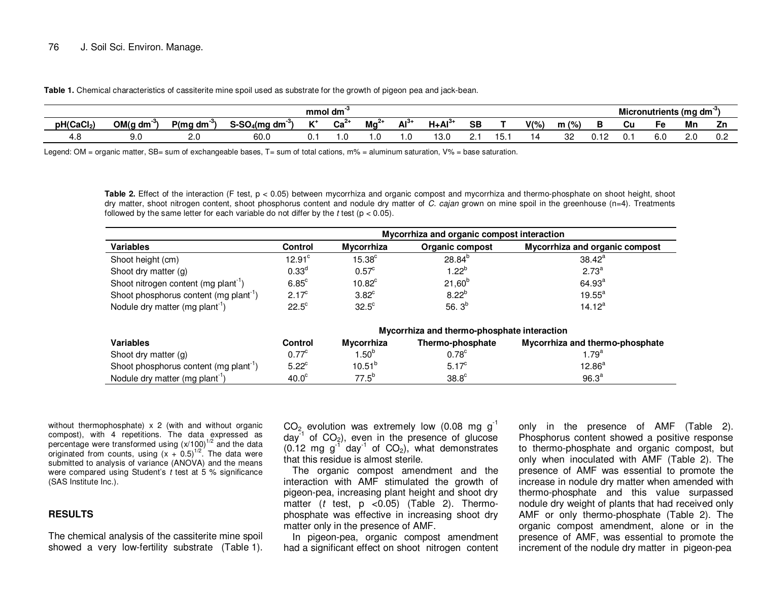**Table 1.** Chemical characteristics of cassiterite mine spoil used as substrate for the growth of pigeon pea and jack-bean.

| mmol dm                |         |              |                                   |                       |                            |         |        |              |           |     |         |         | Micronutrients (mg dm <sup>-3</sup> ) |    |     |    |     |
|------------------------|---------|--------------|-----------------------------------|-----------------------|----------------------------|---------|--------|--------------|-----------|-----|---------|---------|---------------------------------------|----|-----|----|-----|
| pH(CaCl <sub>2</sub> ) | OM(g dm | P(ma<br>' dm | $\sim$ 00 $\sim$<br>-SO4(mq<br>dm | $\overline{11}$<br>n. | $\sim$ $\sim$ $\sim$<br>va | <br>™d. | $Al^3$ | $.1+AI^{3+}$ | <b>SB</b> |     | $V(\%)$ | $m$ (%) |                                       | Cu | -с  | Mn | Zn  |
| 7. U                   | 9.C     | $\sim$       | 60.0                              | ν.                    | . ب                        |         | ى.     | 13.L         |           | . ט | ı 4     | 32      | υ.                                    | v. | o.u | U  | v.c |

Legend: OM = organic matter, SB= sum of exchangeable bases, T= sum of total cations, m% = aluminum saturation, V% = base saturation.

**Table 2.** Effect of the interaction (F test, p < 0.05) between mycorrhiza and organic compost and mycorrhiza and thermo-phosphate on shoot height, shoot dry matter, shoot nitrogen content, shoot phosphorus content and nodule dry matter of C. cajan grown on mine spoil in the greenhouse (n=4). Treatments followed by the same letter for each variable do not differ by the t test ( $p < 0.05$ ).

|                                                    | Mycorrhiza and organic compost interaction |                    |                                             |                                 |  |  |  |  |  |
|----------------------------------------------------|--------------------------------------------|--------------------|---------------------------------------------|---------------------------------|--|--|--|--|--|
| <b>Variables</b>                                   | <b>Control</b>                             | <b>Mycorrhiza</b>  | Organic compost                             | Mycorrhiza and organic compost  |  |  |  |  |  |
| Shoot height (cm)                                  | 12.91 <sup>c</sup>                         | 15.38 <sup>c</sup> | $28.84^{b}$                                 | $38.42^a$                       |  |  |  |  |  |
| Shoot dry matter (g)                               | 0.33 <sup>d</sup>                          | $0.57^{\circ}$     | $1.22^{b}$                                  | $2.73^{a}$                      |  |  |  |  |  |
| Shoot nitrogen content (mg plant <sup>-1</sup> )   | $6.85^{\circ}$                             | 10.82 <sup>c</sup> | $21,60^{b}$                                 | $64.93^{a}$                     |  |  |  |  |  |
| Shoot phosphorus content (mg plant <sup>-1</sup> ) | $2.17^{\circ}$                             | $3.82^c$           | $8.22^{b}$                                  | $19.55^a$                       |  |  |  |  |  |
| Nodule dry matter (mg plant <sup>1</sup> )         | $22.5^{\circ}$                             | $32.5^{\circ}$     | 56. $3^b$                                   | $14.12^a$                       |  |  |  |  |  |
|                                                    |                                            |                    | Mycorrhiza and thermo-phosphate interaction |                                 |  |  |  |  |  |
| <b>Variables</b>                                   | Control                                    | <b>Mycorrhiza</b>  | Thermo-phosphate                            | Mycorrhiza and thermo-phosphate |  |  |  |  |  |
| Shoot dry matter (g)                               | $0.77^{\circ}$                             | 1.50 <sup>b</sup>  | 0.78 <sup>c</sup>                           | $1.79^{a}$                      |  |  |  |  |  |
| Shoot phosphorus content (mg plant <sup>1</sup> )  | $5.22^c$                                   | $10.51^{b}$        | $5.17^{\circ}$                              | $12.86^{a}$                     |  |  |  |  |  |
| Nodule dry matter (mg plant <sup>1</sup> )         | 40.0 <sup>c</sup>                          | $77.5^{b}$         | 38.8 <sup>c</sup>                           | 96.3 <sup>a</sup>               |  |  |  |  |  |

without thermophosphate)  $\times$  2 (with and without organic compost), with 4 repetitions. The data expressed aspercentage were transformed using  $(x/100)^{1/2}$  and the data originated from counts, using  $(x + 0.5)^{1/2}$ . The data were submitted to analysis of variance (ANOVA) and the means were compared using Student's  $t$  test at 5 % significance (SAS Institute Inc.).

# **RESULTS**

The chemical analysis of the cassiterite mine spoil showed a very low-fertility substrate (Table 1).  $CO<sub>2</sub>$  evolution was extremely low (0.08 mg  $g<sup>-1</sup>$  $day^{-1}$  of  $CO<sub>2</sub>$ ), even in the presence of glucose  $(0.12 \text{ mg g}^{-1} \text{ day}^{-1} \text{ of } CO_2)$ , what demonstrates that this residue is almost sterile.

 The organic compost amendment and the interaction with AMF stimulated the growth of pigeon-pea, increasing plant height and shoot dry matter  $(t \text{ test}, p < 0.05)$  (Table 2). Thermophosphate was effective in increasing shoot dry matter only in the presence of AMF.

 In pigeon-pea, organic compost amendment had a significant effect on shoot nitrogen content only in the presence of AMF (Table 2). Phosphorus content showed a positive response to thermo-phosphate and organic compost, but only when inoculated with AMF (Table 2). The presence of AMF was essential to promote the increase in nodule dry matter when amended with thermo-phosphate and this value surpassed nodule dry weight of plants that had received only AMF or only thermo-phosphate (Table 2). The organic compost amendment, alone or in the presence of AMF, was essential to promote the increment of the nodule dry matter in pigeon-pea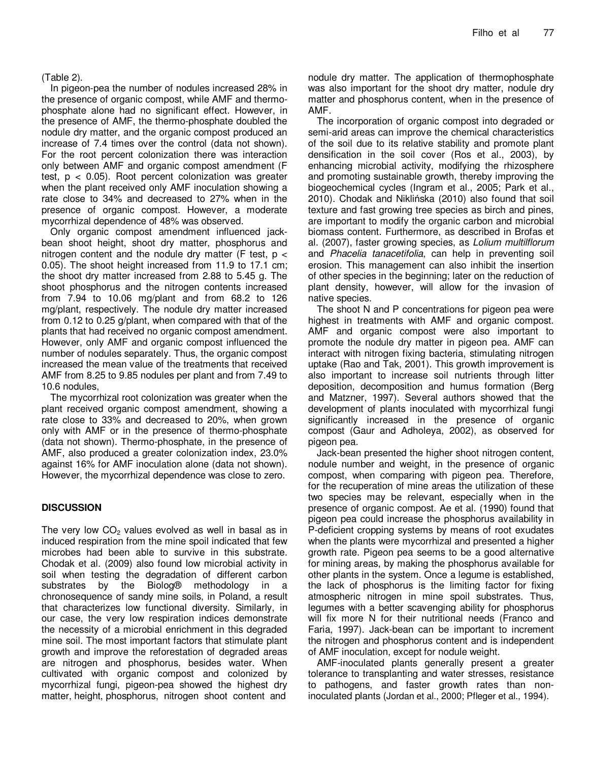(Table 2).

In pigeon-pea the number of nodules increased 28% in the presence of organic compost, while AMF and thermophosphate alone had no significant effect. However, in the presence of AMF, the thermo-phosphate doubled the nodule dry matter, and the organic compost produced an increase of 7.4 times over the control (data not shown). For the root percent colonization there was interaction only between AMF and organic compost amendment (F test,  $p < 0.05$ ). Root percent colonization was greater when the plant received only AMF inoculation showing a rate close to 34% and decreased to 27% when in the presence of organic compost. However, a moderate mycorrhizal dependence of 48% was observed.

Only organic compost amendment influenced jackbean shoot height, shoot dry matter, phosphorus and nitrogen content and the nodule dry matter (F test,  $p <$ 0.05). The shoot height increased from 11.9 to 17.1 cm; the shoot dry matter increased from 2.88 to 5.45 g. The shoot phosphorus and the nitrogen contents increased from 7.94 to 10.06 mg/plant and from 68.2 to 126 mg/plant, respectively. The nodule dry matter increased from 0.12 to 0.25 g/plant, when compared with that of the plants that had received no organic compost amendment. However, only AMF and organic compost influenced the number of nodules separately. Thus, the organic compost increased the mean value of the treatments that received AMF from 8.25 to 9.85 nodules per plant and from 7.49 to 10.6 nodules,

The mycorrhizal root colonization was greater when the plant received organic compost amendment, showing a rate close to 33% and decreased to 20%, when grown only with AMF or in the presence of thermo-phosphate (data not shown). Thermo-phosphate, in the presence of AMF, also produced a greater colonization index, 23.0% against 16% for AMF inoculation alone (data not shown). However, the mycorrhizal dependence was close to zero.

## **DISCUSSION**

The very low  $CO<sub>2</sub>$  values evolved as well in basal as in induced respiration from the mine spoil indicated that few microbes had been able to survive in this substrate. Chodak et al. (2009) also found low microbial activity in soil when testing the degradation of different carbon substrates by the Biolog® methodology in a chronosequence of sandy mine soils, in Poland, a result that characterizes low functional diversity. Similarly, in our case, the very low respiration indices demonstrate the necessity of a microbial enrichment in this degraded mine soil. The most important factors that stimulate plant growth and improve the reforestation of degraded areas are nitrogen and phosphorus, besides water. When cultivated with organic compost and colonized by mycorrhizal fungi, pigeon-pea showed the highest dry matter, height, phosphorus, nitrogen shoot content and

nodule dry matter. The application of thermophosphate was also important for the shoot dry matter, nodule dry matter and phosphorus content, when in the presence of AMF.

The incorporation of organic compost into degraded or semi-arid areas can improve the chemical characteristics of the soil due to its relative stability and promote plant densification in the soil cover (Ros et al., 2003), by enhancing microbial activity, modifying the rhizosphere and promoting sustainable growth, thereby improving the biogeochemical cycles (Ingram et al., 2005; Park et al., 2010). Chodak and Niklińska (2010) also found that soil texture and fast growing tree species as birch and pines, are important to modify the organic carbon and microbial biomass content. Furthermore, as described in Brofas et al. (2007), faster growing species, as Lolium multilflorum and Phacelia tanacetifolia, can help in preventing soil erosion. This management can also inhibit the insertion of other species in the beginning; later on the reduction of plant density, however, will allow for the invasion of native species.

The shoot N and P concentrations for pigeon pea were highest in treatments with AMF and organic compost. AMF and organic compost were also important to promote the nodule dry matter in pigeon pea. AMF can interact with nitrogen fixing bacteria, stimulating nitrogen uptake (Rao and Tak, 2001). This growth improvement is also important to increase soil nutrients through litter deposition, decomposition and humus formation (Berg and Matzner, 1997). Several authors showed that the development of plants inoculated with mycorrhizal fungi significantly increased in the presence of organic compost (Gaur and Adholeya, 2002), as observed for pigeon pea.

Jack-bean presented the higher shoot nitrogen content, nodule number and weight, in the presence of organic compost, when comparing with pigeon pea. Therefore, for the recuperation of mine areas the utilization of these two species may be relevant, especially when in the presence of organic compost. Ae et al. (1990) found that pigeon pea could increase the phosphorus availability in P-deficient cropping systems by means of root exudates when the plants were mycorrhizal and presented a higher growth rate. Pigeon pea seems to be a good alternative for mining areas, by making the phosphorus available for other plants in the system. Once a legume is established, the lack of phosphorus is the limiting factor for fixing atmospheric nitrogen in mine spoil substrates. Thus, legumes with a better scavenging ability for phosphorus will fix more N for their nutritional needs (Franco and Faria, 1997). Jack-bean can be important to increment the nitrogen and phosphorus content and is independent of AMF inoculation, except for nodule weight.

AMF-inoculated plants generally present a greater tolerance to transplanting and water stresses, resistance to pathogens, and faster growth rates than noninoculated plants (Jordan et al., 2000; Pfleger et al., 1994).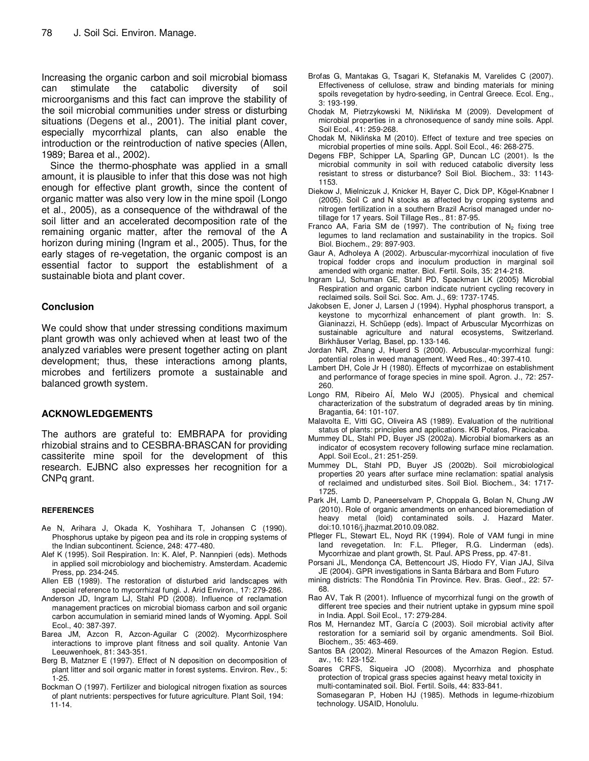Increasing the organic carbon and soil microbial biomass can stimulate the catabolic diversity of soil microorganisms and this fact can improve the stability of the soil microbial communities under stress or disturbing situations (Degens et al., 2001). The initial plant cover, especially mycorrhizal plants, can also enable the introduction or the reintroduction of native species (Allen, 1989; Barea et al., 2002).

Since the thermo-phosphate was applied in a small amount, it is plausible to infer that this dose was not high enough for effective plant growth, since the content of organic matter was also very low in the mine spoil (Longo et al., 2005), as a consequence of the withdrawal of the soil litter and an accelerated decomposition rate of the remaining organic matter, after the removal of the A horizon during mining (Ingram et al., 2005). Thus, for the early stages of re-vegetation, the organic compost is an essential factor to support the establishment of a sustainable biota and plant cover.

### **Conclusion**

We could show that under stressing conditions maximum plant growth was only achieved when at least two of the analyzed variables were present together acting on plant development; thus, these interactions among plants, microbes and fertilizers promote a sustainable and balanced growth system.

#### **ACKNOWLEDGEMENTS**

The authors are grateful to: EMBRAPA for providing rhizobial strains and to CESBRA-BRASCAN for providing cassiterite mine spoil for the development of this research. EJBNC also expresses her recognition for a CNPq grant.

#### **REFERENCES**

- Ae N, Arihara J, Okada K, Yoshihara T, Johansen C (1990). Phosphorus uptake by pigeon pea and its role in cropping systems of the Indian subcontinent. Science, 248: 477-480.
- Alef K (1995). Soil Respiration. In: K. Alef, P. Nannpieri (eds). Methods in applied soil microbiology and biochemistry. Amsterdam. Academic Press, pp. 234-245.
- Allen EB (1989). The restoration of disturbed arid landscapes with special reference to mycorrhizal fungi. J. Arid Environ., 17: 279-286.
- Anderson JD, Ingram LJ, Stahl PD (2008). Influence of reclamation management practices on microbial biomass carbon and soil organic carbon accumulation in semiarid mined lands of Wyoming. Appl. Soil Ecol., 40: 387-397.
- Barea JM, Azcon R, Azcon-Aguilar C (2002). Mycorrhizosphere interactions to improve plant fitness and soil quality. Antonie Van Leeuwenhoek, 81: 343-351.
- Berg B, Matzner E (1997). Effect of N deposition on decomposition of plant litter and soil organic matter in forest systems. Environ. Rev., 5: 1-25.
- Bockman O (1997). Fertilizer and biological nitrogen fixation as sources of plant nutrients: perspectives for future agriculture. Plant Soil, 194: 11-14.
- Brofas G, Mantakas G, Tsagari K, Stefanakis M, Varelides C (2007). Effectiveness of cellulose, straw and binding materials for mining spoils revegetation by hydro-seeding, in Central Greece. Ecol. Eng., 3: 193-199.
- Chodak M, Pietrzykowski M, Niklińska M (2009). Development of microbial properties in a chronosequence of sandy mine soils. Appl. Soil Ecol., 41: 259-268.
- Chodak M, Niklińska M (2010). Effect of texture and tree species on microbial properties of mine soils. Appl. Soil Ecol., 46: 268-275.
- Degens FBP, Schipper LA, Sparling GP, Duncan LC (2001). Is the microbial community in soil with reduced catabolic diversity less resistant to stress or disturbance? Soil Biol. Biochem., 33: 1143- 1153.
- Diekow J, Mielniczuk J, Knicker H, Bayer C, Dick DP, Kögel-Knabner I (2005). Soil C and N stocks as affected by cropping systems and nitrogen fertilization in a southern Brazil Acrisol managed under notillage for 17 years. Soil Tillage Res., 81: 87-95.
- Franco AA, Faria SM de (1997). The contribution of  $N_2$  fixing tree legumes to land reclamation and sustainability in the tropics. Soil Biol. Biochem., 29: 897-903.
- Gaur A, Adholeya A (2002). Arbuscular-mycorrhizal inoculation of five tropical fodder crops and inoculum production in marginal soil amended with organic matter. Biol. Fertil. Soils, 35: 214-218.
- Ingram LJ, Schuman GE, Stahl PD, Spackman LK (2005) Microbial Respiration and organic carbon indicate nutrient cycling recovery in reclaimed soils. Soil Sci. Soc. Am. J., 69: 1737-1745.
- Jakobsen E, Joner J, Larsen J (1994). Hyphal phosphorus transport, a keystone to mycorrhizal enhancement of plant growth. In: S. Gianinazzi, H. Schüepp (eds). Impact of Arbuscular Mycorrhizas on sustainable agriculture and natural ecosystems, Switzerland. Birkhäuser Verlag, Basel, pp. 133-146.
- Jordan NR, Zhang J, Huerd S (2000). Arbuscular-mycorrhizal fungi: potential roles in weed management. Weed Res., 40: 397-410.
- Lambert DH, Cole Jr H (1980). Effects of mycorrhizae on establishment and performance of forage species in mine spoil. Agron. J., 72: 257- 260.
- Longo RM, Ribeiro AÍ, Melo WJ (2005). Physical and chemical characterization of the substratum of degraded areas by tin mining. Bragantia, 64: 101-107.
- Malavolta E, Vitti GC, Oliveira AS (1989). Evaluation of the nutritional status of plants: principles and applications. KB Potafos, Piracicaba.
- Mummey DL, Stahl PD, Buyer JS (2002a). Microbial biomarkers as an indicator of ecosystem recovery following surface mine reclamation. Appl. Soil Ecol., 21: 251-259.
- Mummey DL, Stahl PD, Buyer JS (2002b). Soil microbiological properties 20 years after surface mine reclamation: spatial analysis of reclaimed and undisturbed sites. Soil Biol. Biochem., 34: 1717- 1725.
- Park JH, Lamb D, Paneerselvam P, Choppala G, Bolan N, Chung JW (2010). Role of organic amendments on enhanced bioremediation of heavy metal (loid) contaminated soils. J. Hazard Mater. doi:10.1016/j.jhazmat.2010.09.082.
- Pfleger FL, Stewart EL, Noyd RK (1994). Role of VAM fungi in mine land revegetation. In: F.L. Pfleger, R.G. Linderman (eds). Mycorrhizae and plant growth, St. Paul. APS Press, pp. 47-81.
- Porsani JL, Mendonça CA, Bettencourt JS, Hiodo FY, Vian JAJ, Silva JE (2004). GPR investigations in Santa Bárbara and Bom Futuro
- mining districts: The Rondônia Tin Province. Rev. Bras. Geof., 22: 57- 68.
- Rao AV, Tak R (2001). Influence of mycorrhizal fungi on the growth of different tree species and their nutrient uptake in gypsum mine spoil in India. Appl. Soil Ecol., 17: 279-284.
- Ros M, Hernandez MT, García C (2003). Soil microbial activity after restoration for a semiarid soil by organic amendments. Soil Biol. Biochem., 35: 463-469.
- Santos BA (2002). Mineral Resources of the Amazon Region. Estud. av., 16: 123-152.
- Soares CRFS, Siqueira JO (2008). Mycorrhiza and phosphate protection of tropical grass species against heavy metal toxicity in multi-contaminated soil. Biol. Fertil. Soils, 44: 833-841.

Somasegaran P, Hoben HJ (1985). Methods in legume-rhizobium technology. USAID, Honolulu.